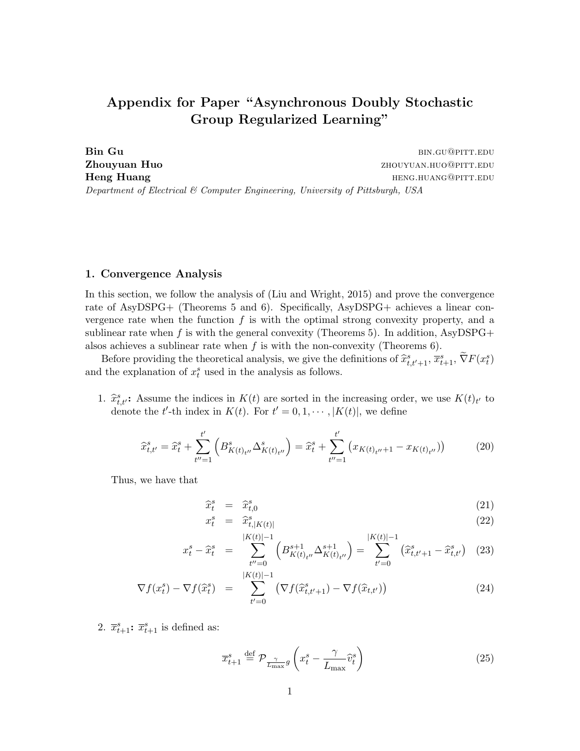## Appendix for Paper "Asynchronous Doubly Stochastic Group Regularized Learning"

Bin Gu bin.gu@pitt.edu **Zhouyuan Huo**  $Z$ houyuan.huo@pitt.edu Heng Huang hength and the settlement of the settlement of the settlement of the settlement of the settlement of the settlement of the settlement of the settlement of the settlement of the settlement of the settlement of th Department of Electrical & Computer Engineering, University of Pittsburgh, USA

## 1. Convergence Analysis

In this section, we follow the analysis of (Liu and Wright, 2015) and prove the convergence rate of AsyDSPG+ (Theorems 5 and 6). Specifically, AsyDSPG+ achieves a linear convergence rate when the function  $f$  is with the optimal strong convexity property, and a sublinear rate when f is with the general convexity (Theorems 5). In addition, AsyDSPG+ alsos achieves a sublinear rate when  $f$  is with the non-convexity (Theorems 6).

Before providing the theoretical analysis, we give the definitions of  $\hat{x}_{t,t'+1}^s$ ,  $\overline{x}_{t+1}^s$ ,  $\tilde{\nabla}F(x_t^s)$  the explanation of  $x_s^s$  used in the analysis as follows and the explanation of  $x_t^s$  used in the analysis as follows.

1.  $\hat{x}_{t,t}^s$ : Assume the indices in  $K(t)$  are sorted in the increasing order, we use  $K(t)_{t'}$  to denote the  $t'$  th index in  $K(t)$ . For  $t' = 0, 1, \dots, K(t)$ , we define denote the t'-th index in  $K(t)$ . For  $t' = 0, 1, \dots, |K(t)|$ , we define

$$
\widehat{x}_{t,t'}^s = \widehat{x}_t^s + \sum_{t''=1}^{t'} \left( B_{K(t)_{t''}}^s \Delta_{K(t)_{t''}}^s \right) = \widehat{x}_t^s + \sum_{t''=1}^{t'} \left( x_{K(t)_{t''}+1} - x_{K(t)_{t''}} \right)
$$
(20)

Thus, we have that

$$
\widehat{x}_t^s = \widehat{x}_{t,0}^s \tag{21}
$$

$$
x_t^s = \hat{x}_{t,|K(t)|}^s \tag{22}
$$

$$
x_t^s - \hat{x}_t^s = \sum_{t''=0}^{|K(t)|-1} \left( B_{K(t)_{t''}}^{s+1} \Delta_{K(t)_{t''}}^{s+1} \right) = \sum_{t'=0}^{|K(t)|-1} \left( \hat{x}_{t,t'+1}^s - \hat{x}_{t,t'}^s \right) (23)
$$

$$
\nabla f(x_t^s) - \nabla f(\widehat{x}_t^s) = \sum_{t'=0}^{|K(t)|-1} \left( \nabla f(\widehat{x}_{t,t'+1}^s) - \nabla f(\widehat{x}_{t,t'}) \right)
$$
(24)

2.  $\overline{x}_{t+1}^s$ :  $\overline{x}_{t+1}^s$  is defined as:

$$
\overline{x}_{t+1}^s \stackrel{\text{def}}{=} \mathcal{P}_{\frac{\gamma}{L_{\text{max}}}g} \left( x_t^s - \frac{\gamma}{L_{\text{max}}} \widehat{v}_t^s \right) \tag{25}
$$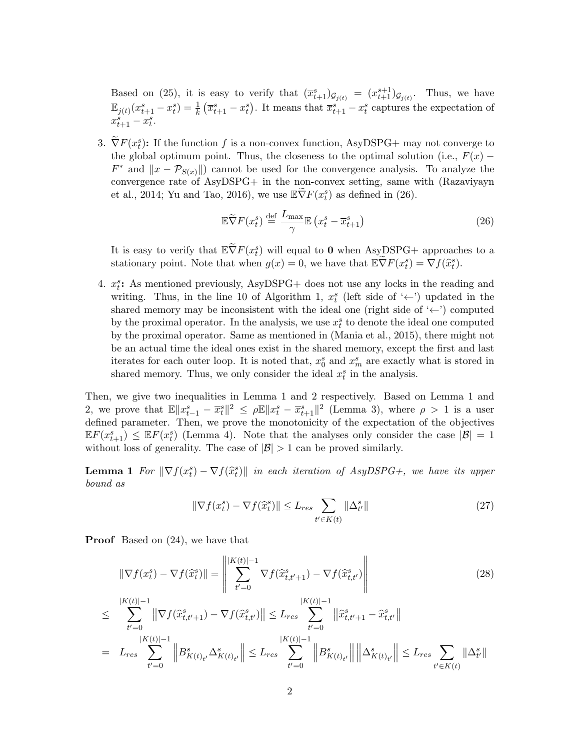Based on (25), it is easy to verify that  $(\overline{x}_{t+1}^s)_{\mathcal{G}_{j(t)}} = (x_{t+1}^{s+1})_{\mathcal{G}_{j(t)}}$ . Thus, we have  $\mathbb{E}_{j(t)}(x_{t+1}^s - x_t^s) = \frac{1}{k} (\overline{x}_{t+1}^s - x_t^s)$ . It means that  $\overline{x}_{t+1}^s - x_t^s$  captures the expectation of  $x_{t+1}^s - x_t^s$ .

3.  $\tilde{\nabla}F(x_t^s)$ : If the function f is a non-convex function, AsyDSPG+ may not converge to the global optimum point. Thus, the closeness to the optimal solution (i.e.,  $F(x)$  −  $F^*$  and  $||x - \mathcal{P}_{S(x)}||$  cannot be used for the convergence analysis. To analyze the convergence rate of AsyDSPG+ in the non-convex setting, same with (Razaviyayn et al., 2014; Yu and Tao, 2016), we use  $\mathbb{E}\widetilde{\nabla}F(x_t^s)$  as defined in (26).

$$
\mathbb{E}\widetilde{\nabla}F(x_t^s) \stackrel{\text{def}}{=} \frac{L_{\text{max}}}{\gamma} \mathbb{E}\left(x_t^s - \overline{x}_{t+1}^s\right) \tag{26}
$$

It is easy to verify that  $\mathbb{E} \widetilde{\nabla} F(x_t^s)$  will equal to 0 when AsyDSPG+ approaches to a stationary point. Note that when  $g(x) = 0$ , we have that  $\mathbb{E} \tilde{\nabla} F(x_t^s) = \nabla f(\hat{x}_t^s)$ .

4.  $x_i^s$ : As mentioned previously, AsyDSPG+ does not use any locks in the reading and writing. Thus, in the line 10 of Algorithm 1,  $x_t^s$  (left side of '←') updated in the shared memory may be inconsistent with the ideal one (right side of '←') computed by the proximal operator. In the analysis, we use  $x_t^s$  to denote the ideal one computed by the proximal operator. Same as mentioned in (Mania et al., 2015), there might not be an actual time the ideal ones exist in the shared memory, except the first and last iterates for each outer loop. It is noted that,  $x_0^s$  and  $x_m^s$  are exactly what is stored in shared memory. Thus, we only consider the ideal  $x_t^s$  in the analysis.

Then, we give two inequalities in Lemma 1 and 2 respectively. Based on Lemma 1 and 2, we prove that  $\mathbb{E} \|x_{t-1}^s - \overline{x}_t^s\|^2 \le \rho \mathbb{E} \|x_t^s - \overline{x}_{t+1}^s\|^2$  (Lemma 3), where  $\rho > 1$  is a user defined parameter. Then, we prove the monotonicity of the expectation of the objectives  $\mathbb{E} F(x_{t+1}^s) \leq \mathbb{E} F(x_t^s)$  (Lemma 4). Note that the analyses only consider the case  $|\mathcal{B}| = 1$ without loss of generality. The case of  $|\mathcal{B}| > 1$  can be proved similarly.

**Lemma 1** For  $\|\nabla f(x_t^s) - \nabla f(\hat{x}_t^s)\|$  in each iteration of AsyDSPG+, we have its upper<br>have as bound as

$$
\|\nabla f(x_t^s) - \nabla f(\widehat{x}_t^s)\| \le L_{res} \sum_{t' \in K(t)} \|\Delta_{t'}^s\| \tag{27}
$$

Proof Based on (24), we have that

$$
\|\nabla f(x_t^s) - \nabla f(\widehat{x}_t^s)\| = \left\|\sum_{t'=0}^{|K(t)|-1} \nabla f(\widehat{x}_{t,t'+1}^s) - \nabla f(\widehat{x}_{t,t'}^s)\right\|
$$
\n
$$
\leq \sum_{t'=0}^{|K(t)|-1} \|\nabla f(\widehat{x}_{t,t'+1}^s) - \nabla f(\widehat{x}_{t,t'}^s)\| \leq L_{res} \sum_{t'=0}^{|K(t)|-1} \|\widehat{x}_{t,t'+1}^s - \widehat{x}_{t,t'}^s\|
$$
\n
$$
= L_{res} \sum_{t'=0}^{|K(t)|-1} \left\|B_{K(t)_{t'}}^s \Delta_{K(t)_{t'}}^s\right\| \leq L_{res} \sum_{t'=0}^{|K(t)|-1} \left\|B_{K(t)_{t'}}^s\right\| \left\|\Delta_{K(t)_{t'}}^s\right\| \leq L_{res} \sum_{t'\in K(t)} \|\Delta_{t'}^s\|
$$
\n(28)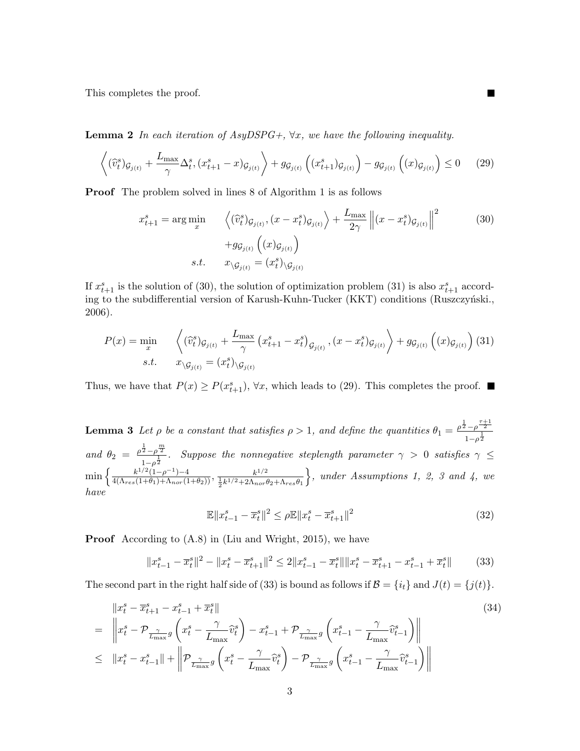This completes the proof.

**Lemma 2** In each iteration of AsyDSPG+,  $\forall x$ , we have the following inequality.

$$
\left\langle (\widehat{v}_t^s)_{\mathcal{G}_{j(t)}} + \frac{L_{\max}}{\gamma} \Delta_t^s, (x_{t+1}^s - x)_{\mathcal{G}_{j(t)}} \right\rangle + g_{\mathcal{G}_{j(t)}} \left( (x_{t+1}^s)_{\mathcal{G}_{j(t)}} \right) - g_{\mathcal{G}_{j(t)}} \left( (x)_{\mathcal{G}_{j(t)}} \right) \le 0 \tag{29}
$$

Proof The problem solved in lines 8 of Algorithm 1 is as follows

$$
x_{t+1}^s = \arg\min_{x} \left\langle (\widehat{v}_t^s)_{\mathcal{G}_{j(t)}}, (x - x_t^s)_{\mathcal{G}_{j(t)}} \right\rangle + \frac{L_{\max}}{2\gamma} \left\| (x - x_t^s)_{\mathcal{G}_{j(t)}} \right\|^2
$$
  
+  $g_{\mathcal{G}_{j(t)}} \left( (x)_{\mathcal{G}_{j(t)}} \right)$   
s.t.  $x_{\setminus \mathcal{G}_{j(t)}} = (x_t^s)_{\setminus \mathcal{G}_{j(t)}}$  (30)

П

If  $x_{t+1}^s$  is the solution of (30), the solution of optimization problem (31) is also  $x_{t+1}^s$  according to the subdifferential version of Karush-Kuhn-Tucker (KKT) conditions (Ruszczyński., 2006).

$$
P(x) = \min_{x} \left\langle \left(\widehat{v}_{t}^{s}\right)_{\mathcal{G}_{j(t)}} + \frac{L_{\max}}{\gamma} \left(x_{t+1}^{s} - x_{t}^{s}\right)_{\mathcal{G}_{j(t)}}, (x - x_{t}^{s})_{\mathcal{G}_{j(t)}} \right\rangle + g_{\mathcal{G}_{j(t)}} \left( (x)_{\mathcal{G}_{j(t)}} \right) (31)
$$
  
s.t. 
$$
x_{\backslash \mathcal{G}_{j(t)}} = (x_{t}^{s})_{\backslash \mathcal{G}_{j(t)}}
$$

Thus, we have that  $P(x) \ge P(x_{t+1}^s)$ ,  $\forall x$ , which leads to (29). This completes the proof.

**Lemma 3** Let  $\rho$  be a constant that satisfies  $\rho > 1$ , and define the quantities  $\theta_1 = \frac{\rho^{\frac{1}{2}} - \rho^{\frac{\tau+1}{2}}}{\frac{1}{\sigma^2}}$  $1-\rho^{\frac{1}{2}}$ and  $\theta_2 = \frac{\rho^{\frac{1}{2}} - \rho^{\frac{m}{2}}}{1}$  $\frac{2-\rho}{1-\rho^{\frac{1}{2}}}$ . Suppose the nonnegative steplength parameter  $\gamma > 0$  satisfies  $\gamma \leq 1$  $\min\left\{\frac{k^{1/2}(1-\rho^{-1})-4}{4(\Lambda_{res}(1+\theta_1)+\Lambda_{nor}(1+\theta_2))},\frac{k^{1/2}}{\frac{1}{2}k^{1/2}+2\Lambda_{nor}t}\right\}$  $\frac{1}{2}k^{1/2}+2\Lambda_{nor}\theta_2+\Lambda_{res}\theta_1$  $\}$ , under Assumptions 1, 2, 3 and 4, we have

$$
\mathbb{E} \|x_{t-1}^s - \overline{x}_t^s\|^2 \le \rho \mathbb{E} \|x_t^s - \overline{x}_{t+1}^s\|^2 \tag{32}
$$

Proof According to (A.8) in (Liu and Wright, 2015), we have

$$
||x_{t-1}^s - \overline{x}_t^s||^2 - ||x_t^s - \overline{x}_{t+1}^s||^2 \le 2||x_{t-1}^s - \overline{x}_t^s|| ||x_t^s - \overline{x}_{t+1}^s - x_{t-1}^s + \overline{x}_t^s||
$$
 (33)

The second part in the right half side of (33) is bound as follows if  $\mathcal{B} = \{i_t\}$  and  $J(t) = \{j(t)\}.$ 

$$
\|x_{t}^{s} - \bar{x}_{t+1}^{s} - x_{t-1}^{s} + \bar{x}_{t}^{s}\|
$$
\n
$$
= \left\|x_{t}^{s} - \mathcal{P}_{\frac{\gamma}{L_{\max}}g}\left(x_{t}^{s} - \frac{\gamma}{L_{\max}}\hat{v}_{t}^{s}\right) - x_{t-1}^{s} + \mathcal{P}_{\frac{\gamma}{L_{\max}}g}\left(x_{t-1}^{s} - \frac{\gamma}{L_{\max}}\hat{v}_{t-1}^{s}\right)\right\|
$$
\n
$$
\leq \|x_{t}^{s} - x_{t-1}^{s}\| + \left\|\mathcal{P}_{\frac{\gamma}{L_{\max}}g}\left(x_{t}^{s} - \frac{\gamma}{L_{\max}}\hat{v}_{t}^{s}\right) - \mathcal{P}_{\frac{\gamma}{L_{\max}}g}\left(x_{t-1}^{s} - \frac{\gamma}{L_{\max}}\hat{v}_{t-1}^{s}\right)\right\|
$$
\n(34)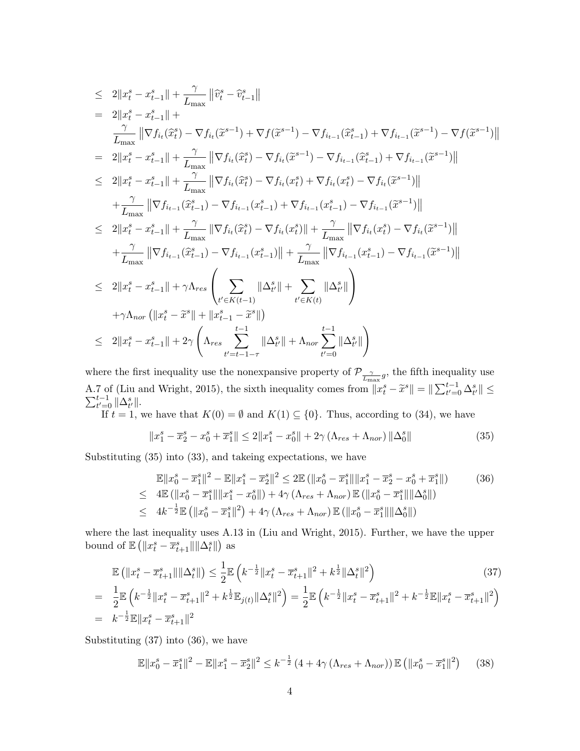$$
\leq 2\|x_{t}^{s} - x_{t-1}^{s}\| + \frac{\gamma}{L_{\max}} \|\widehat{v}_{t}^{s} - \widehat{v}_{t-1}^{s}\|
$$
\n
$$
= 2\|x_{t}^{s} - x_{t-1}^{s}\| + \frac{\gamma}{L_{\max}} \|\nabla f_{i_{t}}(\widehat{x}_{t}^{s}) - \nabla f_{i_{t}}(\widetilde{x}^{s-1}) + \nabla f(\widetilde{x}^{s-1}) - \nabla f_{i_{t-1}}(\widehat{x}_{t-1}^{s}) + \nabla f_{i_{t-1}}(\widetilde{x}^{s-1}) - \nabla f_{i_{t-1}}(\widetilde{x}^{s-1}) - \nabla f_{i_{t-1}}(\widetilde{x}^{s-1})\|
$$
\n
$$
= 2\|x_{t}^{s} - x_{t-1}^{s}\| + \frac{\gamma}{L_{\max}} \|\nabla f_{i_{t}}(\widehat{x}_{t}^{s}) - \nabla f_{i_{t}}(\widetilde{x}^{s-1}) - \nabla f_{i_{t-1}}(\widehat{x}_{t-1}^{s}) + \nabla f_{i_{t-1}}(\widetilde{x}^{s-1})\|
$$
\n
$$
\leq 2\|x_{t}^{s} - x_{t-1}^{s}\| + \frac{\gamma}{L_{\max}} \|\nabla f_{i_{t}}(\widehat{x}_{t}^{s}) - \nabla f_{i_{t}}(x_{t}^{s}) + \nabla f_{i_{t}}(x_{t}^{s}) - \nabla f_{i_{t-1}}(\widetilde{x}^{s-1})\|
$$
\n
$$
+ \frac{\gamma}{L_{\max}} \|\nabla f_{i_{t-1}}(\widehat{x}_{t-1}^{s}) - \nabla f_{i_{t-1}}(x_{t-1}^{s}) + \frac{\gamma}{L_{\max}} \|\nabla f_{i_{t}}(\widehat{x}_{t}^{s}) - \nabla f_{i_{t}}(x_{t}^{s}) - \nabla f_{i_{t-1}}(\widetilde{x}^{s-1})\|
$$
\n
$$
\leq 2\|x_{t}^{s} - x_{t-1}^{s}\| + \frac{\gamma}{L_{\max}} \|\nabla f_{i_{t-1}}(\widehat{x}_{t-1}^{s}) - \nabla f_{i_{t
$$

where the first inequality use the nonexpansive property of  $\mathcal{P}_{\frac{\gamma}{L_{\text{max}}}g}$ , the fifth inequality use A.7 of (Liu and Wright, 2015), the sixth inequality comes from  $||x_t^s - \tilde{x}^s|| = ||\sum_{t'=0}^{t-1} \Delta_{t'}^s|| \le \sum_{t'=0}^{t-1} ||\Delta_{t'}^s||$ .  $_{t'=0}^{t-1}$   $\Vert \Delta_{t'}^s \Vert$ .

If  $t = 1$ , we have that  $K(0) = \emptyset$  and  $K(1) \subseteq \{0\}$ . Thus, according to (34), we have

$$
||x_1^s - \overline{x}_2^s - x_0^s + \overline{x}_1^s|| \le 2||x_1^s - x_0^s|| + 2\gamma \left(\Lambda_{res} + \Lambda_{nor}\right) ||\Delta_0^s|| \tag{35}
$$

Substituting (35) into (33), and takeing expectations, we have

$$
\mathbb{E}||x_0^s - \overline{x}_1^s||^2 - \mathbb{E}||x_1^s - \overline{x}_2^s||^2 \le 2\mathbb{E} (||x_0^s - \overline{x}_1^s|| ||x_1^s - \overline{x}_2^s - x_0^s + \overline{x}_1^s||)
$$
(36)  
\n
$$
\le 4\mathbb{E} (||x_0^s - \overline{x}_1^s|| ||x_1^s - x_0^s||) + 4\gamma (\Lambda_{res} + \Lambda_{nor}) \mathbb{E} (||x_0^s - \overline{x}_1^s|| ||\Delta_0^s||)
$$
  
\n
$$
\le 4k^{-\frac{1}{2}}\mathbb{E} (||x_0^s - \overline{x}_1^s||^2) + 4\gamma (\Lambda_{res} + \Lambda_{nor}) \mathbb{E} (||x_0^s - \overline{x}_1^s|| ||\Delta_0^s||)
$$

where the last inequality uses A.13 in (Liu and Wright, 2015). Further, we have the upper bound of  $\mathbb{E}\left(\Vert x_t^s - \overline{x}_{t+1}^s \Vert \Vert \Delta_t^s \Vert\right)$  as

$$
\mathbb{E}\left(\|x_t^s - \overline{x}_{t+1}^s\| \|\Delta_t^s\|\right) \le \frac{1}{2} \mathbb{E}\left(k^{-\frac{1}{2}} \|x_t^s - \overline{x}_{t+1}^s\|^2 + k^{\frac{1}{2}} \|\Delta_t^s\|^2\right) \tag{37}
$$
\n
$$
\frac{1}{2} \mathbb{E}\left(k^{-\frac{1}{2}} \|x_t^s - \overline{x}_{t+1}^s\|^2 + k^{\frac{1}{2}} \mathbb{E}_{\delta(t)} \|\Delta_t^s\|^2\right) = \frac{1}{2} \mathbb{E}\left(k^{-\frac{1}{2}} \|x_t^s - \overline{x}_{t+1}^s\|^2 + k^{-\frac{1}{2}} \mathbb{E}\|x_t^s - \overline{x}_{t+1}^s\|^2\right)
$$

$$
= \frac{1}{2} \mathbb{E} \left( k^{-\frac{1}{2}} \|x_t^s - \overline{x}_{t+1}^s\|^2 + k^{\frac{1}{2}} \mathbb{E}_{j(t)} \|\Delta_t^s\|^2 \right) = \frac{1}{2} \mathbb{E} \left( k^{-\frac{1}{2}} \|x_t^s - \overline{x}_{t+1}^s\|^2 + k^{-\frac{1}{2}} \mathbb{E} \|x_t^s - \overline{x}_{t+1}^s\|^2 \right)
$$
  
=  $k^{-\frac{1}{2}} \mathbb{E} \|x_t^s - \overline{x}_{t+1}^s\|^2$ 

Substituting (37) into (36), we have

$$
\mathbb{E}||x_0^s - \overline{x}_1^s||^2 - \mathbb{E}||x_1^s - \overline{x}_2^s||^2 \le k^{-\frac{1}{2}} \left(4 + 4\gamma \left(\Lambda_{res} + \Lambda_{nor}\right)\right) \mathbb{E}\left(||x_0^s - \overline{x}_1^s||^2\right) \tag{38}
$$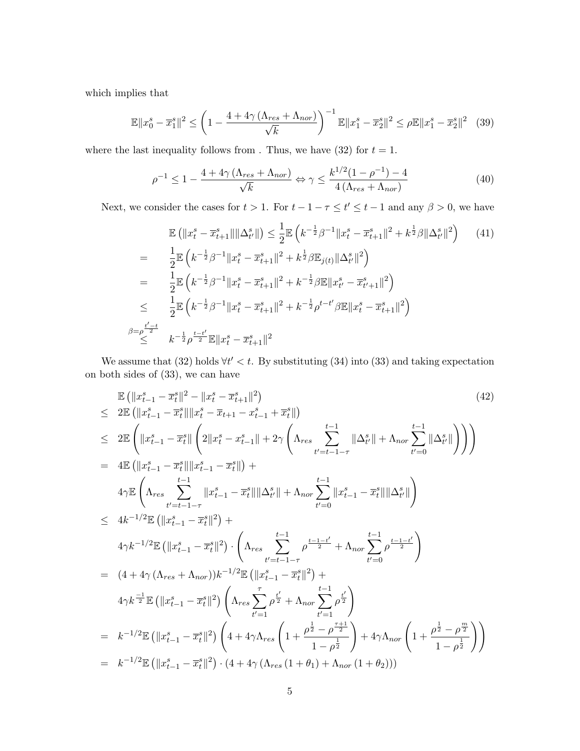which implies that

$$
\mathbb{E}||x_0^s - \overline{x}_1^s||^2 \le \left(1 - \frac{4 + 4\gamma \left(\Lambda_{res} + \Lambda_{nor}\right)}{\sqrt{k}}\right)^{-1} \mathbb{E}||x_1^s - \overline{x}_2^s||^2 \le \rho \mathbb{E}||x_1^s - \overline{x}_2^s||^2 \tag{39}
$$

where the last inequality follows from . Thus, we have (32) for  $t = 1$ .

$$
\rho^{-1} \le 1 - \frac{4 + 4\gamma \left(\Lambda_{res} + \Lambda_{nor}\right)}{\sqrt{k}} \Leftrightarrow \gamma \le \frac{k^{1/2} (1 - \rho^{-1}) - 4}{4 \left(\Lambda_{res} + \Lambda_{nor}\right)}\tag{40}
$$

Next, we consider the cases for  $t > 1$ . For  $t - 1 - \tau \le t' \le t - 1$  and any  $\beta > 0$ , we have

$$
\mathbb{E}\left(\|x_t^s - \overline{x}_{t+1}^s\| \|\Delta_{t'}^s\|\right) \leq \frac{1}{2} \mathbb{E}\left(k^{-\frac{1}{2}}\beta^{-1} \|x_t^s - \overline{x}_{t+1}^s\|^2 + k^{\frac{1}{2}}\beta \|\Delta_{t'}^s\|^2\right) \tag{41}
$$
\n
$$
= \frac{1}{2} \mathbb{E}\left(k^{-\frac{1}{2}}\beta^{-1} \|x_t^s - \overline{x}_{t+1}^s\|^2 + k^{\frac{1}{2}}\beta \mathbb{E}_{j(t)} \|\Delta_{t'}^s\|^2\right)
$$
\n
$$
= \frac{1}{2} \mathbb{E}\left(k^{-\frac{1}{2}}\beta^{-1} \|x_t^s - \overline{x}_{t+1}^s\|^2 + k^{-\frac{1}{2}}\beta \mathbb{E} \|x_{t'}^s - \overline{x}_{t'+1}^s\|^2\right)
$$
\n
$$
\leq \frac{1}{2} \mathbb{E}\left(k^{-\frac{1}{2}}\beta^{-1} \|x_t^s - \overline{x}_{t+1}^s\|^2 + k^{-\frac{1}{2}}\beta^{t-t'}\beta \mathbb{E} \|x_t^s - \overline{x}_{t+1}^s\|^2\right)
$$
\n
$$
\beta = \rho^{\frac{t'-t}{2}} \quad k^{-\frac{1}{2}}\rho^{\frac{t-t'}{2}} \mathbb{E} \|x_t^s - \overline{x}_{t+1}^s\|^2
$$

We assume that (32) holds  $\forall t' < t$ . By substituting (34) into (33) and taking expectation on both sides of (33), we can have

$$
\mathbb{E} \left( \|x_{t-1}^s - \bar{x}_t^s \|^2 - \|x_t^s - \bar{x}_{t+1}^s \|^2 \right) \tag{42}
$$
\n
$$
\leq 2 \mathbb{E} \left( \|x_{t-1}^s - \bar{x}_t^s \|\|x_t^s - \bar{x}_{t+1} - x_{t-1}^s + \bar{x}_t^s \|\right) \tag{42}
$$
\n
$$
\leq 2 \mathbb{E} \left( \|x_{t-1}^s - \bar{x}_t^s \|\| \left( 2 \|x_t^s - x_{t-1}^s \|\right) + 2\gamma \left( \Lambda_{res} \sum_{t'=t-1-\tau}^{t-1} \|\Delta_{t'}^s \|\right) + 4\gamma \mathbb{E} \left( \Lambda_{res} \sum_{t'=t-1-\tau}^{t-1} \|x_{t-1}^s - \bar{x}_t^s \|\|\Delta_{t'}^s \|\right) + 4\gamma \mathbb{E} \left( \Lambda_{res} \sum_{t'=t-1-\tau}^{t-1} \|x_{t-1}^s - \bar{x}_t^s \|\|\Delta_{t'}^s \|\right) + 4\gamma \mathbb{E} \left( \|x_{t-1}^s - \bar{x}_t^s \|\|^2 \right) + 4\gamma k^{-1/2} \mathbb{E} \left( \|x_{t-1}^s - \bar{x}_t^s \|\|^2 \right) + 4\gamma k^{-1/2} \mathbb{E} \left( \|x_{t-1}^s - \bar{x}_t^s \|\|^2 \right) + 4\gamma k^{-1/2} \mathbb{E} \left( \|x_{t-1}^s - \bar{x}_t^s \|\|^2 \right) \left( \Lambda_{res} \sum_{t'=t-1-\tau}^{t-1} \rho^{\frac{t-1-t'}{2}} + \Lambda_{nor} \sum_{t'=0}^{t-1-t'} \rho^{\frac{t-1-t'}{2}} \right)
$$
\n
$$
= (4 + 4\gamma \left( \Lambda_{res} + \Lambda_{nor} \right) \right) k^{-1/2} \mathbb{E} \left( \|x_{t-1}^s - \bar{x}_t^s \|\|^2 \right) + 4\gamma k^{-1/2} \mathbb{E} \left( \|x_{t-1}^s - \bar{x}_t^s \|\|^2 \right) \left( \Lambda_{res} \sum_{t'=1}^{t'} \rho
$$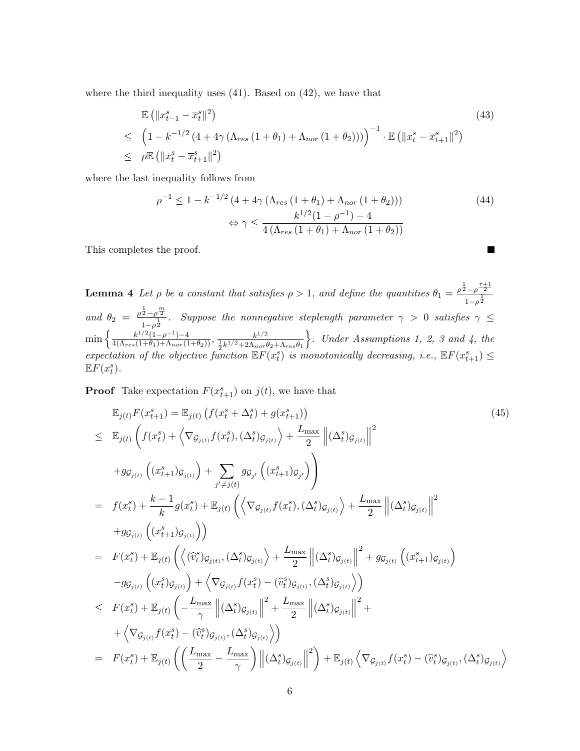where the third inequality uses (41). Based on (42), we have that

$$
\mathbb{E} (||x_{t-1}^s - \overline{x}_t^s||^2)
$$
\n
$$
\leq (1 - k^{-1/2} (4 + 4\gamma (\Lambda_{res} (1 + \theta_1) + \Lambda_{nor} (1 + \theta_2))))^{-1} \cdot \mathbb{E} (||x_t^s - \overline{x}_{t+1}^s||^2)
$$
\n
$$
\leq \rho \mathbb{E} (||x_t^s - \overline{x}_{t+1}^s||^2)
$$
\n(43)

where the last inequality follows from

$$
\rho^{-1} \le 1 - k^{-1/2} \left( 4 + 4\gamma \left( \Lambda_{res} \left( 1 + \theta_1 \right) + \Lambda_{nor} \left( 1 + \theta_2 \right) \right) \right) \tag{44}
$$
\n
$$
\Leftrightarrow \gamma \le \frac{k^{1/2} (1 - \rho^{-1}) - 4}{4 \left( \Lambda_{res} \left( 1 + \theta_1 \right) + \Lambda_{nor} \left( 1 + \theta_2 \right) \right)}
$$

 $\blacksquare$ 

This completes the proof.

**Lemma 4** Let  $\rho$  be a constant that satisfies  $\rho > 1$ , and define the quantities  $\theta_1 = \frac{\rho^{\frac{1}{2}} - \rho^{\frac{\tau+1}{2}}}{\frac{1}{\sigma^2}}$  $1-\rho^{\frac{1}{2}}$ and  $\theta_2 = \frac{\rho^{\frac{1}{2}} - \rho^{\frac{m}{2}}}{1}$  $\frac{2-\rho}{1-\rho^{\frac{1}{2}}}$ . Suppose the nonnegative steplength parameter  $\gamma > 0$  satisfies  $\gamma \leq 1$  $\min\left\{\frac{k^{1/2}(1-\rho^{-1})-4}{4(\Lambda_{res}(1+\theta_1)+\Lambda_{nor}(1+\theta_2))},\frac{k^{1/2}}{\frac{1}{2}k^{1/2}+2\Lambda_{nor}t}\right\}$  $\frac{1}{2}k^{1/2}+2\Lambda_{nor}\theta_2+\Lambda_{res}\theta_1$  $\}$ . Under Assumptions 1, 2, 3 and 4, the expectation of the objective function  $\mathbb{E} F(x_t^s)$  is monotonically decreasing, i.e.,  $\mathbb{E} F(x_{t+1}^s) \leq$ <br> $\mathbb{E} F(x_s^s)$  $\mathbb{E} F(x_t^s)$ .

**Proof** Take expectation  $F(x_{t+1}^s)$  on  $j(t)$ , we have that

$$
\mathbb{E}_{j(t)} F(x_{t+1}^{s}) = \mathbb{E}_{j(t)} \left( f(x_{t}^{s} + \Delta_{t}^{s}) + g(x_{t+1}^{s}) \right)
$$
\n
$$
\leq \mathbb{E}_{j(t)} \left( f(x_{t}^{s}) + \left\langle \nabla_{\mathcal{G}_{j(t)}} f(x_{t}^{s}), (\Delta_{t}^{s})_{\mathcal{G}_{j(t)}} \right\rangle + \frac{L_{\max}}{2} \left\| (\Delta_{t}^{s})_{\mathcal{G}_{j(t)}} \right\|^{2}
$$
\n
$$
+ g_{\mathcal{G}_{j(t)}} \left( (x_{t+1}^{s})_{\mathcal{G}_{j(t)}} \right) + \sum_{j' \neq j(t)} g_{\mathcal{G}_{j'}} \left( (x_{t+1}^{s})_{\mathcal{G}_{j'}} \right) \right)
$$
\n
$$
= f(x_{t}^{s}) + \frac{k-1}{k} g(x_{t}^{s}) + \mathbb{E}_{j(t)} \left( \left\langle \nabla_{\mathcal{G}_{j(t)}} f(x_{t}^{s}), (\Delta_{t}^{s})_{\mathcal{G}_{j(t)}} \right\rangle + \frac{L_{\max}}{2} \left\| (\Delta_{t}^{s})_{\mathcal{G}_{j(t)}} \right\|^{2}
$$
\n
$$
+ g_{\mathcal{G}_{j(t)}} \left( (x_{t+1}^{s})_{\mathcal{G}_{j(t)}} \right) \right)
$$
\n
$$
= F(x_{t}^{s}) + \mathbb{E}_{j(t)} \left( \left\langle (\hat{v}_{t}^{s})_{\mathcal{G}_{j(t)}}, (\Delta_{t}^{s})_{\mathcal{G}_{j(t)}} \right\rangle + \frac{L_{\max}}{2} \left\| (\Delta_{t}^{s})_{\mathcal{G}_{j(t)}} \right\|^{2} + g_{\mathcal{G}_{j(t)}} \left( (x_{t+1}^{s})_{\mathcal{G}_{j(t)}} \right)
$$
\n
$$
- g_{\mathcal{G}_{j(t)}} \left( (x_{t}^{s})_{\mathcal{G}_{j(t)}} \right) + \left\langle \nabla_{\mathcal{G}_{j(t)}} f(x_{t}^{s}) - (\hat{v}_{t}^{s})_{\mathcal{G}_{j(t)}} \right\rangle \left\|^{2} + \frac{L_{\max}}{2} \left\| (\Delta_{t}^{s})_{\mathcal{G}_{
$$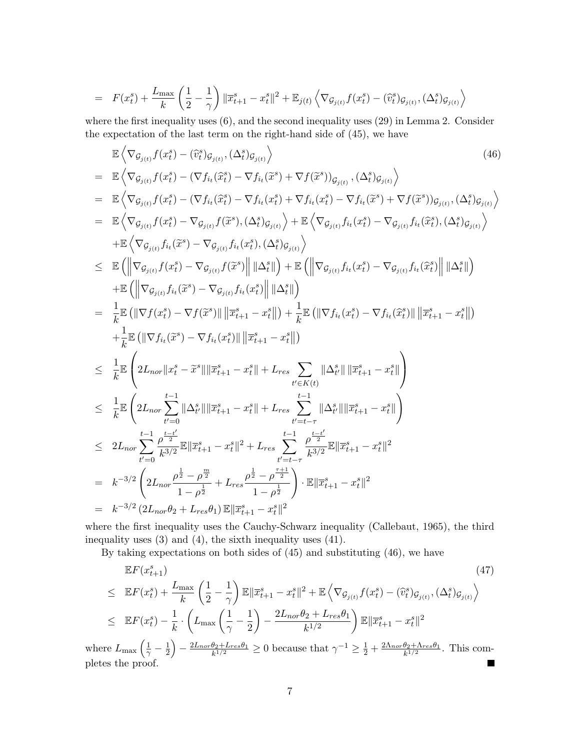$$
= F(x_t^s) + \frac{L_{\max}}{k} \left( \frac{1}{2} - \frac{1}{\gamma} \right) \|\overline{x}_{t+1}^s - x_t^s\|^2 + \mathbb{E}_{j(t)} \left\langle \nabla_{\mathcal{G}_{j(t)}} f(x_t^s) - (\widehat{v}_t^s)_{\mathcal{G}_{j(t)}}, (\Delta_t^s)_{\mathcal{G}_{j(t)}} \right\rangle
$$

where the first inequality uses (6), and the second inequality uses (29) in Lemma 2. Consider the expectation of the last term on the right-hand side of (45), we have

$$
\mathbb{E}\left\langle \nabla_{\mathcal{G}_{j(t)}} f(x_{t}^{s}) - (\hat{v}_{t}^{s})_{\mathcal{G}_{j(t)}}, (\Delta_{t}^{s})_{\mathcal{G}_{j(t)}} \right\rangle
$$
\n
$$
= \mathbb{E}\left\langle \nabla_{\mathcal{G}_{j(t)}} f(x_{t}^{s}) - (\nabla f_{i_{t}}(\hat{x}_{t}^{s}) - \nabla f_{i_{t}}(\tilde{x}^{s}) + \nabla f(\tilde{x}^{s}))_{\mathcal{G}_{j(t)}}, (\Delta_{t}^{s})_{\mathcal{G}_{j(t)}} \right\rangle
$$
\n
$$
= \mathbb{E}\left\langle \nabla_{\mathcal{G}_{j(t)}} f(x_{t}^{s}) - (\nabla f_{i_{t}}(\hat{x}_{t}^{s}) - \nabla f_{i_{t}}(\tilde{x}^{s}) + \nabla f_{i_{t}}(\tilde{x}_{t}^{s}) - \nabla f_{i_{t}}(\tilde{x}^{s}) + \nabla f(\tilde{x}^{s}))_{\mathcal{G}_{j(t)}} \right\rangle
$$
\n
$$
= \mathbb{E}\left\langle \nabla_{\mathcal{G}_{j(t)}} f(x_{t}^{s}) - \nabla_{\mathcal{G}_{j(t)}} f(\tilde{x}^{s}), (\Delta_{t}^{s})_{\mathcal{G}_{j(t)}} \right\rangle + \mathbb{E}\left\langle \nabla_{\mathcal{G}_{j(t)}} f_{i_{t}}(\tilde{x}^{s}) - \nabla_{\mathcal{G}_{j(t)}} f_{i_{t}}(\tilde{x}^{s}) \right\rangle
$$
\n
$$
\leq \mathbb{E}\left( \left\| \nabla_{\mathcal{G}_{j(t)}} f(x_{t}^{s}) - \nabla_{\mathcal{G}_{j(t)}} f_{i_{t}}(\tilde{x}^{s}) \right\rangle \left\| \Delta_{t}^{s} \right\| \right\rangle + \mathbb{E}\left( \left\| \nabla_{\mathcal{G}_{j(t)}} f_{i_{t}}(\tilde{x}^{s}) - \nabla_{\mathcal{G}_{j(t)}} f_{i_{t}}(\tilde{x}^{s}) \right\rangle \right)
$$
\n
$$
\leq \mathbb{E}\left( \left\| \nabla f_{\mathcal{G}_{j(t)}} f(x_{t}^{s}) - \nabla f_{\mathcal{G}_{j(t)}} f(\tilde{x}^{s}) \right
$$

where the first inequality uses the Cauchy-Schwarz inequality (Callebaut, 1965), the third inequality uses (3) and (4), the sixth inequality uses (41).

By taking expectations on both sides of (45) and substituting (46), we have

$$
\mathbb{E}F(x_{t+1}^{s})
$$
\n
$$
\leq \mathbb{E}F(x_{t}^{s}) + \frac{L_{\max}}{k} \left(\frac{1}{2} - \frac{1}{\gamma}\right) \mathbb{E}||\overline{x}_{t+1}^{s} - x_{t}^{s}||^{2} + \mathbb{E}\left\langle \nabla_{\mathcal{G}_{j(t)}} f(x_{t}^{s}) - (\widehat{v}_{t}^{s}) \mathcal{G}_{j(t)}, (\Delta_{t}^{s}) \mathcal{G}_{j(t)} \right\rangle
$$
\n
$$
\leq \mathbb{E}F(x_{t}^{s}) - \frac{1}{k} \cdot \left(L_{\max}\left(\frac{1}{\gamma} - \frac{1}{2}\right) - \frac{2L_{\text{nor}}\theta_{2} + L_{\text{res}}\theta_{1}}{k^{1/2}}\right) \mathbb{E}||\overline{x}_{t+1}^{s} - x_{t}^{s}||^{2}
$$
\n
$$
(1, 1) \quad \text{or} \quad \theta_{1} \leq \theta_{1} \leq \theta_{2} \leq \theta_{3} \leq \theta_{4} \leq \theta_{5} \leq \theta_{5} \leq \theta_{6} \leq \theta_{7} \leq \theta_{8} \leq \theta_{9} \leq \theta_{9} \leq \theta_{1} \leq \theta_{1} \leq \theta_{1} \leq \theta_{1} \leq \theta_{1} \leq \theta_{1} \leq \theta_{1} \leq \theta_{1} \leq \theta_{1} \leq \theta_{1} \leq \theta_{1} \leq \theta_{1} \leq \theta_{1} \leq \theta_{1} \leq \theta_{1} \leq \theta_{1} \leq \theta_{1} \leq \theta_{1} \leq \theta_{1} \leq \theta_{1} \leq \theta_{1} \leq \theta_{1} \leq \theta_{1} \leq \theta_{1} \leq \theta_{1} \leq \theta_{1} \leq \theta_{1} \leq \theta_{1} \leq \theta_{1} \leq \theta_{1} \leq \theta_{1} \leq \theta_{1} \leq \theta_{1} \leq \theta_{1} \leq \theta_{1} \leq \theta_{1} \leq \theta_{1} \leq \theta_{1} \leq \theta_{1} \leq \theta_{1} \leq \theta_{1} \leq \
$$

where  $L_{\text{max}}\left(\frac{1}{\gamma}-\frac{1}{2}\right)$  $\frac{1}{2}$  -  $\frac{2L_{nor}\theta _{2}+L_{res}\theta _{1}}{k^{1/2}}$  $\frac{\theta_2 + L_{res}\theta_1}{k^{1/2}} \ge 0$  because that  $\gamma^{-1} \ge \frac{1}{2} + \frac{2\Lambda_{nor}\theta_2 + \Lambda_{res}\theta_1}{k^{1/2}}$  $\frac{\theta_2 + \Lambda_{res} \theta_1}{k^{1/2}}$ . This completes the proof. Г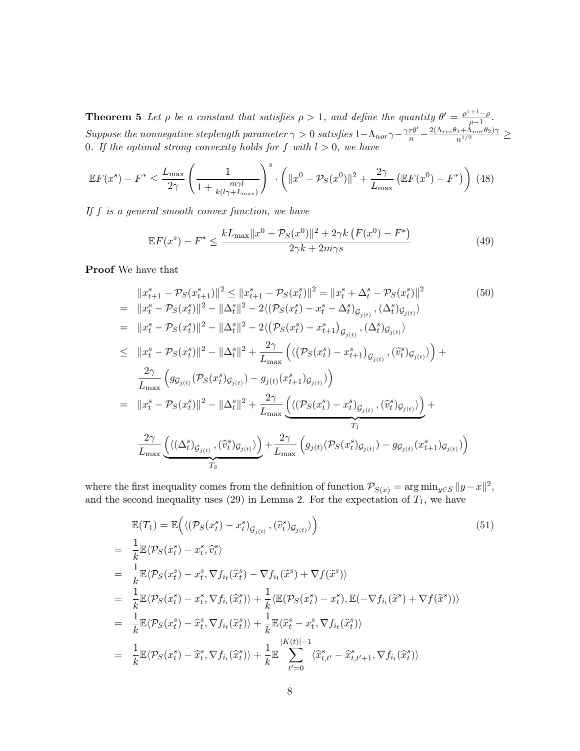**Theorem 5** Let  $\rho$  be a constant that satisfies  $\rho > 1$ , and define the quantity  $\theta' = \frac{\rho^{\tau+1}-\rho}{\rho-1}$  $\frac{1-\rho}{\rho-1}$ .  $Suppose\ the\ nonnegative\ step length\ parameter\ \gamma>0\ satisfies\ 1-\Lambda_{nor}\ \gamma-\frac{\gamma\tau\theta'}{n}-\frac{2(\Lambda_{res}\theta_1+\Lambda_{nor}\theta_2)\gamma}{n^{1/2}}\geq0$ 0. If the optimal strong convexity holds for f with  $l > 0$ , we have

$$
\mathbb{E}F(x^s) - F^* \le \frac{L_{\max}}{2\gamma} \left( \frac{1}{1 + \frac{m\gamma l}{k(l\gamma + L_{\max})}} \right)^s \cdot \left( \|x^0 - \mathcal{P}_S(x^0)\|^2 + \frac{2\gamma}{L_{\max}} \left( \mathbb{E}F(x^0) - F^* \right) \right) (48)
$$

If  $f$  is a general smooth convex function, we have

$$
\mathbb{E}F(x^s) - F^* \le \frac{kL_{\max}||x^0 - \mathcal{P}_S(x^0)||^2 + 2\gamma k \left(F(x^0) - F^*\right)}{2\gamma k + 2m\gamma s} \tag{49}
$$

Proof We have that

$$
||x_{t+1}^{s} - \mathcal{P}_{S}(x_{t+1}^{s})||^{2} \le ||x_{t+1}^{s} - \mathcal{P}_{S}(x_{t}^{s})||^{2} = ||x_{t}^{s} + \Delta_{t}^{s} - \mathcal{P}_{S}(x_{t}^{s})||^{2}
$$
\n
$$
= ||x_{t}^{s} - \mathcal{P}_{S}(x_{t}^{s})||^{2} - ||\Delta_{t}^{s}||^{2} - 2\langle(\mathcal{P}_{S}(x_{t}^{s}) - x_{t}^{s} - \Delta_{t}^{s})_{\mathcal{G}_{j(t)}}, (\Delta_{t}^{s})_{\mathcal{G}_{j(t)}}\rangle
$$
\n
$$
= ||x_{t}^{s} - \mathcal{P}_{S}(x_{t}^{s})||^{2} - ||\Delta_{t}^{s}||^{2} - 2\langle(\mathcal{P}_{S}(x_{t}^{s}) - x_{t+1}^{s})_{\mathcal{G}_{j(t)}}, (\Delta_{t}^{s})_{\mathcal{G}_{j(t)}}\rangle
$$
\n
$$
\le ||x_{t}^{s} - \mathcal{P}_{S}(x_{t}^{s})||^{2} - ||\Delta_{t}^{s}||^{2} + \frac{2\gamma}{L_{\max}}\left(\langle(\mathcal{P}_{S}(x_{t}^{s}) - x_{t+1}^{s})_{\mathcal{G}_{j(t)}}, (\hat{v}_{t}^{s})_{\mathcal{G}_{j(t)}}\rangle\right) + \frac{2\gamma}{L_{\max}}\left(g_{\mathcal{G}_{j(t)}}(\mathcal{P}_{S}(x_{t}^{s})_{\mathcal{G}_{j(t)}}) - g_{j(t)}(x_{t+1}^{s})_{\mathcal{G}_{j(t)}}\right)
$$
\n
$$
= ||x_{t}^{s} - \mathcal{P}_{S}(x_{t}^{s})||^{2} - ||\Delta_{t}^{s}||^{2} + \frac{2\gamma}{L_{\max}}\left(\langle(\mathcal{P}_{S}(x_{t}^{s}) - x_{t}^{s})_{\mathcal{G}_{j(t)}}, (\hat{v}_{t}^{s})_{\mathcal{G}_{j(t)}}\rangle\right) + \frac{2\gamma}{T_{1}}
$$
\n
$$
\frac{2\gamma}{L_{\max}}\left(\langle(\Delta_{t}^{s})_{\mathcal{G}_{j(t)}}, (\hat{v}_{t}^{s})_{\mathcal{G}_{j(t)}}\rangle\right) + \frac
$$

where the first inequality comes from the definition of function  $\mathcal{P}_{S(x)} = \arg \min_{y \in S} ||y - x||^2$ , and the second inequality uses (29) in Lemma 2. For the expectation of  $T_1$ , we have

$$
\mathbb{E}(T_1) = \mathbb{E}\Big(\langle (\mathcal{P}_S(x_t^s) - x_t^s)_{\mathcal{G}_{j(t)}}, (\hat{v}_t^s)_{\mathcal{G}_{j(t)}} \rangle\Big) \n= \frac{1}{k} \mathbb{E}\langle \mathcal{P}_S(x_t^s) - x_t^s, \hat{v}_t^s \rangle \n= \frac{1}{k} \mathbb{E}\langle \mathcal{P}_S(x_t^s) - x_t^s, \nabla f_{i_t}(\hat{x}_t^s) - \nabla f_{i_t}(\tilde{x}^s) + \nabla f(\tilde{x}^s) \rangle \n= \frac{1}{k} \mathbb{E}\langle \mathcal{P}_S(x_t^s) - x_t^s, \nabla f_{i_t}(\hat{x}_t^s) \rangle + \frac{1}{k} \langle \mathbb{E}(\mathcal{P}_S(x_t^s) - x_t^s), \mathbb{E}(-\nabla f_{i_t}(\tilde{x}^s) + \nabla f(\tilde{x}^s)) \rangle \n= \frac{1}{k} \mathbb{E}\langle \mathcal{P}_S(x_t^s) - \hat{x}_t^s, \nabla f_{i_t}(\hat{x}_t^s) \rangle + \frac{1}{k} \mathbb{E}\langle \hat{x}_t^s - x_t^s, \nabla f_{i_t}(\hat{x}_t^s) \rangle \n= \frac{1}{k} \mathbb{E}\langle \mathcal{P}_S(x_t^s) - \hat{x}_t^s, \nabla f_{i_t}(\hat{x}_t^s) \rangle + \frac{1}{k} \mathbb{E}\sum_{t'=0}^{|K(t)|-1} \langle \hat{x}_{t,t'}^s - \hat{x}_{t,t'+1}^s, \nabla f_{i_t}(\hat{x}_t^s) \rangle
$$
\n(51)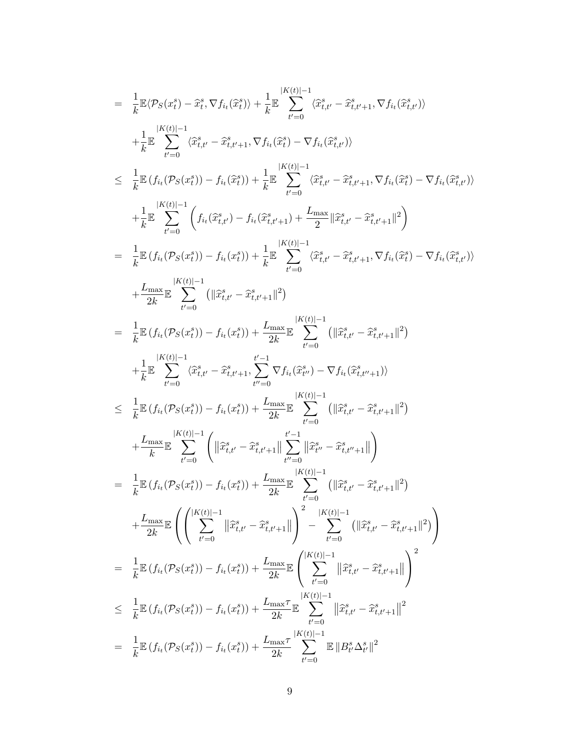$$
= \frac{1}{k} \mathbb{E} \langle \mathcal{P}_S(x_t^s) - \hat{x}_t^s, \nabla f_{i_t}(\hat{x}_t^s) \rangle + \frac{1}{k} \mathbb{E} \sum_{t'=0}^{k(Kt)-1} \langle \hat{x}_{t,t'}^s - \hat{x}_{t,t'+1}^s, \nabla f_{i_t}(\hat{x}_{t,t'}^s) \rangle
$$
  
\n
$$
+ \frac{1}{k} \mathbb{E} \sum_{t'=0}^{k(Kt)-1} \langle \hat{x}_{t,t'}^s - \hat{x}_{t,t'+1}^s, \nabla f_{i_t}(\hat{x}_t^s) - \nabla f_{i_t}(\hat{x}_{t,t'}^s) \rangle
$$
  
\n
$$
\leq \frac{1}{k} \mathbb{E} \langle f_{i_t}(\mathcal{P}_S(x_t^s)) - f_{i_t}(\hat{x}_{t,t}^s) + \frac{1}{k} \mathbb{E} \sum_{t'=0}^{k(Kt)-1} \langle \hat{x}_{t,t'}^s - \hat{x}_{t,t'+1}^s, \nabla f_{i_t}(\hat{x}_t^s) - \nabla f_{i_t}(\hat{x}_{t,t'}^s) \rangle
$$
  
\n
$$
+ \frac{1}{k} \mathbb{E} \sum_{t'=0}^{k(Kt)-1} \left( f_{i_t}(\hat{x}_{t,t'}^s) - f_{i_t}(\hat{x}_{t,t+1}^s) + \frac{L_{\text{max}}}{k} \sum_{t'=0}^{k(Kt)-1} \langle \hat{x}_{t,t'}^s - \hat{x}_{t,t'+1}^s \rangle \right)
$$
  
\n
$$
+ \frac{L_{\text{max}}}{2k} \sum_{t'=0}^{k(Kt)-1} \left( \|\hat{x}_{t,t}^s - \hat{x}_{t,t+1}^s \|^2 \right)
$$
  
\n
$$
= \frac{1}{k} \mathbb{E} \langle f_{i_t}(\mathcal{P}_S(x_t^s)) - f_{i_t}(x_t^s) \rangle + \frac{L_{\text{max}}}{2k} \sum_{t'=0}^{k(Kt)-1} \left( \|\hat{x}_{t,t'}^s - \hat{x}_{t,t'+1}^s \|^2 \right)
$$
  
\n
$$
+ \frac{1}{2k} \sum_{t'=0}^{k(Kt)-1} \langle \hat{x}_{t,t'}^s - \hat{x}_{t,t'+1
$$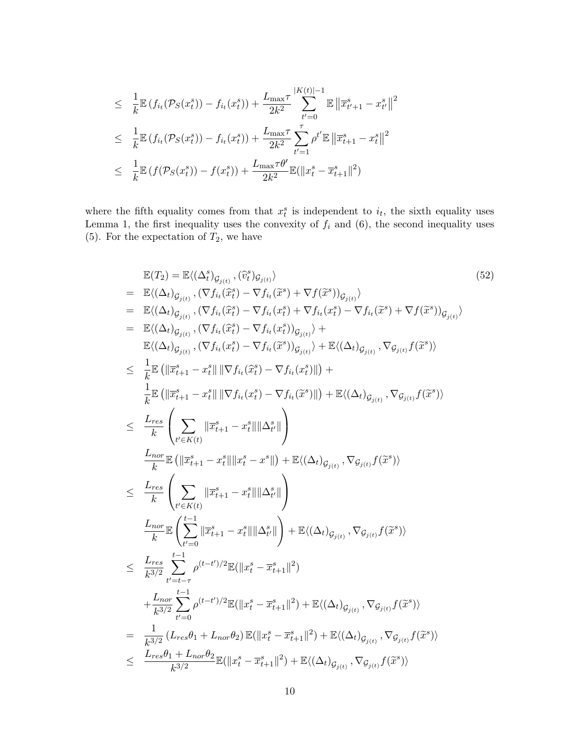$$
\leq \frac{1}{k} \mathbb{E} \left( f_{i_t}(\mathcal{P}_S(x_t^s)) - f_{i_t}(x_t^s) \right) + \frac{L_{\max} \tau}{2k^2} \sum_{t'=0}^{|K(t)|-1} \mathbb{E} \left\| \overline{x}_{t'+1}^s - x_{t'}^s \right\|^2
$$
  

$$
\leq \frac{1}{k} \mathbb{E} \left( f_{i_t}(\mathcal{P}_S(x_t^s)) - f_{i_t}(x_t^s) \right) + \frac{L_{\max} \tau}{2k^2} \sum_{t'=1}^{\tau} \rho^{t'} \mathbb{E} \left\| \overline{x}_{t+1}^s - x_t^s \right\|^2
$$
  

$$
\leq \frac{1}{k} \mathbb{E} \left( f(\mathcal{P}_S(x_t^s)) - f(x_t^s) \right) + \frac{L_{\max} \tau \theta'}{2k^2} \mathbb{E} \left( \| x_t^s - \overline{x}_{t+1}^s \|^2 \right)
$$

where the fifth equality comes from that  $x_i^s$  is independent to  $i_t$ , the sixth equality uses Lemma 1, the first inequality uses the convexity of  $f_i$  and  $(6)$ , the second inequality uses (5). For the expectation of  $T_2$ , we have

$$
\mathbb{E}(T_{2}) = \mathbb{E}\langle (\Delta_{t}^{*})_{G_{j(t)}}, (\tilde{v}_{t}^{*})_{G_{j(t)}}\rangle
$$
\n
$$
= \mathbb{E}\langle (\Delta_{t})_{G_{j(t)}}, (\nabla f_{i_{t}}(\tilde{x}_{t}^{*}) - \nabla f_{i_{t}}(\tilde{x}^{*}) + \nabla f(\tilde{x}^{*}))_{G_{j(t)}}\rangle
$$
\n
$$
= \mathbb{E}\langle (\Delta_{t})_{G_{j(t)}}, (\nabla f_{i_{t}}(\tilde{x}_{t}^{*}) - \nabla f_{i_{t}}(x_{t}^{*}) + \nabla f_{i_{t}}(x_{t}^{*}) - \nabla f_{i_{t}}(\tilde{x}^{*}) + \nabla f(\tilde{x}^{*}))_{G_{j(t)}}\rangle
$$
\n
$$
= \mathbb{E}\langle (\Delta_{t})_{G_{j(t)}}, (\nabla f_{i_{t}}(\tilde{x}_{t}^{*}) - \nabla f_{i_{t}}(\tilde{x}_{t}^{*}))_{G_{j(t)}}\rangle + \mathbb{E}\langle (\Delta_{t})_{G_{j(t)}}, \nabla g_{j(t)}f(\tilde{x}^{*})\rangle
$$
\n
$$
\leq \frac{1}{k} \mathbb{E}\left(\|\tilde{x}_{t+1}^{s} - x_{t}^{s}\| \|\nabla f_{i_{t}}(\tilde{x}_{t}^{*}) - \nabla f_{i_{t}}(\tilde{x}_{t}^{*})\|\right) +
$$
\n
$$
\frac{1}{k} \mathbb{E}\left(\|\tilde{x}_{t+1}^{s} - x_{t}^{s}\| \|\nabla f_{i_{t}}(\tilde{x}_{t}^{*}) - \nabla f_{i_{t}}(\tilde{x}^{*})\|\right) + \mathbb{E}\langle (\Delta_{t})_{G_{j(t)}}, \nabla g_{j(t)}f(\tilde{x}^{*})\rangle
$$
\n
$$
\leq \frac{L_{res}}{k} \left(\sum_{t' \in K(t)} \|\tilde{x}_{t+1}^{s} - x_{t}^{s}\| \|\Delta_{t'}^{s}\|\right)
$$
\n
$$
\frac{L_{nor}}{k} \mathbb{E}\left(\|\tilde{x}_{t+1}^{s} - x_{t}^{s}\| \|\Delta_{t'}^{s}\|\right)
$$
\n
$$
\leq \frac{L_{res}}
$$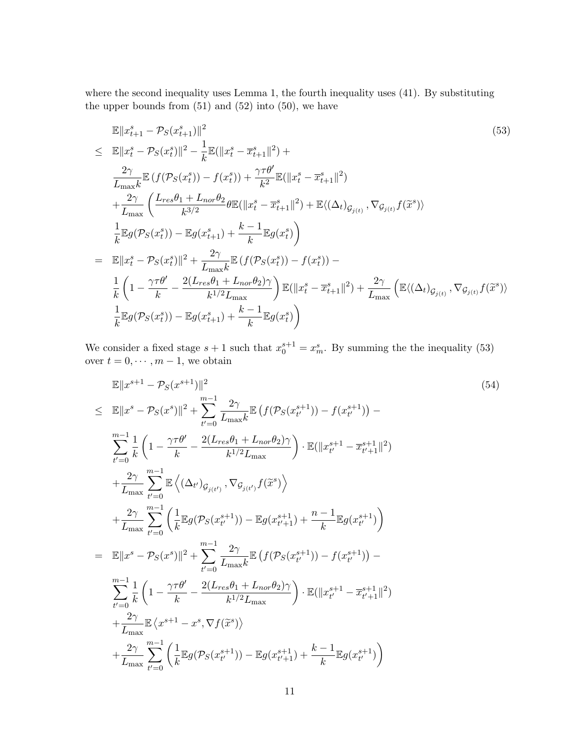where the second inequality uses Lemma 1, the fourth inequality uses (41). By substituting the upper bounds from  $(51)$  and  $(52)$  into  $(50)$ , we have

$$
\mathbb{E}||x_{t+1}^{s} - \mathcal{P}_{S}(x_{t+1}^{s})||^{2}
$$
\n
$$
\leq \mathbb{E}||x_{t}^{s} - \mathcal{P}_{S}(x_{t}^{s})||^{2} - \frac{1}{k}\mathbb{E}(||x_{t}^{s} - \overline{x}_{t+1}^{s}||^{2}) +
$$
\n
$$
\frac{2\gamma}{L_{\max k}}\mathbb{E}\left(f(\mathcal{P}_{S}(x_{t}^{s})) - f(x_{t}^{s})\right) + \frac{\gamma\tau\theta'}{k^{2}}\mathbb{E}(\|x_{t}^{s} - \overline{x}_{t+1}^{s}||^{2})
$$
\n
$$
+ \frac{2\gamma}{L_{\max}}\left(\frac{L_{res}\theta_{1} + L_{nor}\theta_{2}}{k^{3/2}}\theta\mathbb{E}(\|x_{t}^{s} - \overline{x}_{t+1}^{s}||^{2}) + \mathbb{E}\langle(\Delta_{t})_{\mathcal{G}_{j(t)}}, \nabla_{\mathcal{G}_{j(t)}}f(\widetilde{x}^{s})\rangle\right)
$$
\n
$$
\frac{1}{k}\mathbb{E}g(\mathcal{P}_{S}(x_{t}^{s})) - \mathbb{E}g(x_{t+1}^{s}) + \frac{k-1}{k}\mathbb{E}g(x_{t}^{s})\right)
$$
\n
$$
= \mathbb{E}||x_{t}^{s} - \mathcal{P}_{S}(x_{t}^{s})||^{2} + \frac{2\gamma}{L_{\max k}}\mathbb{E}\left(f(\mathcal{P}_{S}(x_{t}^{s})) - f(x_{t}^{s})\right) -
$$
\n
$$
\frac{1}{k}\left(1 - \frac{\gamma\tau\theta'}{k} - \frac{2(L_{res}\theta_{1} + L_{nor}\theta_{2})\gamma}{k^{1/2}L_{\max}}\right)\mathbb{E}(\|x_{t}^{s} - \overline{x}_{t+1}^{s}||^{2}) + \frac{2\gamma}{L_{\max}}\left(\mathbb{E}\langle(\Delta_{t})_{\mathcal{G}_{j(t)}}, \nabla_{\mathcal{G}_{j(t)}}f(\widetilde{x}^{s})\rangle\right)
$$
\n
$$
\frac{1}{k}\mathbb{E}g(\mathcal{P}_{S}(x_{t}^{s})) - \mathbb{E}g(x_{t+1}^{s}) +
$$

We consider a fixed stage  $s + 1$  such that  $x_0^{s+1} = x_m^s$ . By summing the the inequality (53) over  $t = 0, \dots, m - 1$ , we obtain

$$
\mathbb{E}||x^{s+1} - \mathcal{P}_S(x^{s+1})||^2
$$
\n
$$
\leq \mathbb{E}||x^s - \mathcal{P}_S(x^s)||^2 + \sum_{t'=0}^{m-1} \frac{2\gamma}{L_{\max}k} \mathbb{E} \left( f(\mathcal{P}_S(x_{t'}^{s+1})) - f(x_{t'}^{s+1}) \right) -
$$
\n
$$
\sum_{t'=0}^{m-1} \frac{1}{k} \left( 1 - \frac{\gamma \tau \theta'}{k} - \frac{2(L_{res}\theta_1 + L_{nor}\theta_2)\gamma}{k^{1/2}L_{\max}} \right) \cdot \mathbb{E}(\|x_{t'}^{s+1} - \overline{x}_{t'+1}^{s+1}\|^2)
$$
\n
$$
+ \frac{2\gamma}{L_{\max}} \sum_{t'=0}^{m-1} \mathbb{E} \left\langle (\Delta_{t'})_{\mathcal{G}_{j(t')}} \nabla_{\mathcal{G}_{j(t')}} f(\overline{x}^s) \right\rangle
$$
\n
$$
+ \frac{2\gamma}{L_{\max}} \sum_{t'=0}^{m-1} \left( \frac{1}{k} \mathbb{E} g(\mathcal{P}_S(x_{t'}^{s+1})) - \mathbb{E} g(x_{t'+1}^{s+1}) + \frac{n-1}{k} \mathbb{E} g(x_{t'}^{s+1}) \right)
$$
\n
$$
= \mathbb{E}||x^s - \mathcal{P}_S(x^s)||^2 + \sum_{t'=0}^{m-1} \frac{2\gamma}{L_{\max}k} \mathbb{E} \left( f(\mathcal{P}_S(x_{t'}^{s+1})) - f(x_{t'}^{s+1}) \right) -
$$
\n
$$
\sum_{t'=0}^{m-1} \frac{1}{k} \left( 1 - \frac{\gamma \tau \theta'}{k} - \frac{2(L_{res}\theta_1 + L_{nor}\theta_2)\gamma}{k^{1/2}L_{\max}} \right) \cdot \mathbb{E}(\|x_{t'}^{s+1} - \overline{x}_{t'+1}^{s+1}\|^2)
$$
\n
$$
+ \frac{2\gamma}{L_{\max}} \mathbb{E} \left\langle x^{s+1} - x^s, \nabla f(\widetilde{x}^s) \right\rangle
$$
\n
$$
+ \frac{2\gamma}{L_{\max
$$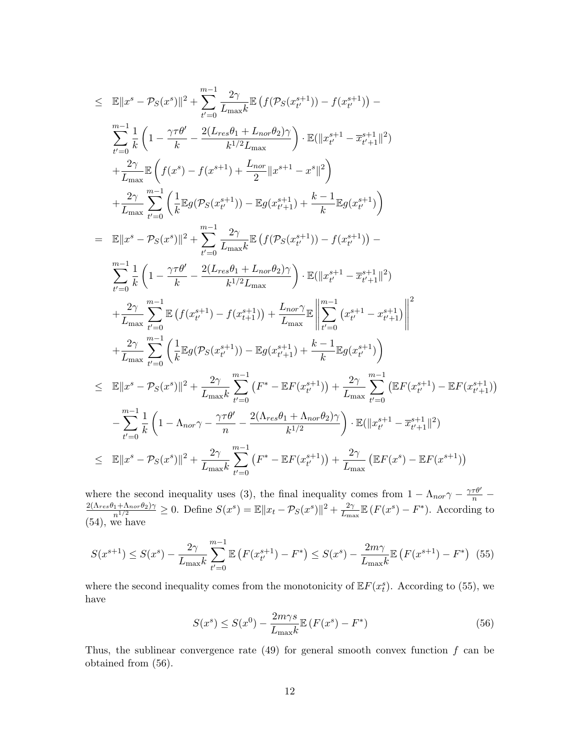$$
\leq \mathbb{E}||x^{s} - \mathcal{P}_{S}(x^{s})||^{2} + \sum_{t'=0}^{m-1} \frac{2\gamma}{L_{\max}} \mathbb{E} \left( f(\mathcal{P}_{S}(x_{t'}^{s+1})) - f(x_{t'}^{s+1}) \right) - \sum_{t'=0}^{m-1} \frac{1}{k} \left( 1 - \frac{\gamma \tau \theta'}{k} - \frac{2(L_{res}\theta_{1} + L_{nor}\theta_{2})\gamma}{k^{1/2}L_{\max}} \right) \cdot \mathbb{E}(\|x_{t'}^{s+1} - \overline{x}_{t'+1}^{s+1}\|^{2}) + \frac{2\gamma}{L_{\max}} \mathbb{E} \left( f(x^{s}) - f(x^{s+1}) + \frac{L_{nor}}{2} \|x^{s+1} - x^{s}\|^{2} \right) + \frac{2\gamma}{L_{\max}} \sum_{t'=0}^{m-1} \left( \frac{1}{k} \mathbb{E}g(\mathcal{P}_{S}(x_{t'}^{s+1})) - \mathbb{E}g(x_{t'+1}^{s+1}) + \frac{k-1}{k} \mathbb{E}g(x_{t'}^{s+1}) \right) - \sum_{t'=0}^{m-1} \frac{1}{k} \left( 1 - \frac{\gamma \tau \theta'}{k} - \frac{2(L_{res}\theta_{1} + L_{nor}\theta_{2})\gamma}{L_{\max}} \right) \cdot \mathbb{E}(\|x_{t'}^{s+1} - \overline{x}_{t'+1}^{s+1}\|^{2}) + \sum_{t'=0}^{m-1} \frac{1}{k} \left( 1 - \frac{\gamma \tau \theta'}{k} - \frac{2(L_{res}\theta_{1} + L_{nor}\theta_{2})\gamma}{k^{1/2}L_{\max}} \right) \cdot \mathbb{E}(\|x_{t'}^{s+1} - \overline{x}_{t'+1}^{s+1}\|^{2}) + \frac{2\gamma}{L_{\max}} \sum_{t'=0}^{m-1} \left( f(x_{t'}^{s+1}) - f(x_{t+1}^{s+1}) \right) + \frac{L_{nor}\gamma}{L_{\max}} \mathbb{E} \left\| \sum_{t'=0}^{m-1} (x_{t'}^{s+1} - x_{t'+1}^{s+1}) \right|^{2} + \sum_{t'=0}^{m-1} \left( \frac{1}{k} \mathbb{E}g(\mathcal{
$$

where the second inequality uses (3), the final inequality comes from  $1 - \Lambda_{nor} \gamma - \frac{\gamma \tau \theta'}{n} - \frac{2(\Lambda_{res}\theta_1 + \Lambda_{nor}\theta_2)\gamma}{n^{1/2}} \ge 0$ . Define  $S(x^s) = \mathbb{E}||x_t - \mathcal{P}_S(x^s)||^2 + \frac{2\gamma}{L_{max}}\mathbb{E}(F(x^s) - F^*)$ . According to  $\frac{2\gamma}{L_{\text{max}}} \mathbb{E}\left(F(x^s) - F^*\right)$ . According to (54), we have

$$
S(x^{s+1}) \le S(x^s) - \frac{2\gamma}{L_{\text{max}}k} \sum_{t'=0}^{m-1} \mathbb{E}\left(F(x_{t'}^{s+1}) - F^*\right) \le S(x^s) - \frac{2m\gamma}{L_{\text{max}}k} \mathbb{E}\left(F(x^{s+1}) - F^*\right) \tag{55}
$$

where the second inequality comes from the monotonicity of  $\mathbb{E} F(x_t^s)$ . According to (55), we have

$$
S(x^s) \le S(x^0) - \frac{2m\gamma s}{L_{\text{max}}k} \mathbb{E}\left(F(x^s) - F^*\right) \tag{56}
$$

Thus, the sublinear convergence rate  $(49)$  for general smooth convex function f can be obtained from (56).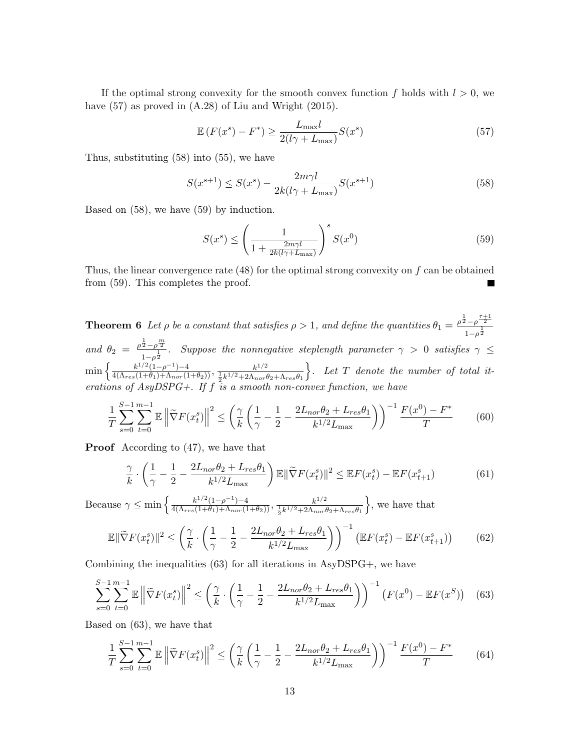If the optimal strong convexity for the smooth convex function f holds with  $l > 0$ , we have  $(57)$  as proved in  $(A.28)$  of Liu and Wright  $(2015)$ .

$$
\mathbb{E}\left(F(x^s) - F^*\right) \ge \frac{L_{\max}l}{2(l\gamma + L_{\max})}S(x^s)
$$
\n(57)

Thus, substituting (58) into (55), we have

$$
S(x^{s+1}) \le S(x^s) - \frac{2m\gamma l}{2k(l\gamma + L_{\text{max}})} S(x^{s+1})
$$
\n(58)

Based on (58), we have (59) by induction.

$$
S(x^s) \le \left(\frac{1}{1 + \frac{2m\gamma l}{2k(l\gamma + L_{\text{max}})}}\right)^s S(x^0)
$$
\n
$$
(59)
$$

Thus, the linear convergence rate  $(48)$  for the optimal strong convexity on f can be obtained from (59). This completes the proof.

**Theorem 6** Let  $\rho$  be a constant that satisfies  $\rho > 1$ , and define the quantities  $\theta_1 = \frac{\rho^{\frac{1}{2}} - \rho^{\frac{\tau+1}{2}}}{\frac{1}{\rho}}$  $\frac{1}{1-\rho^{\frac{1}{2}}}$ and  $\theta_2 = \frac{\rho^{\frac{1}{2}} - \rho^{\frac{m}{2}}}{1}$  $\frac{2-\rho}{1-\rho^{\frac{1}{2}}}$ . Suppose the nonnegative steplength parameter  $\gamma > 0$  satisfies  $\gamma \leq 1$  $\min\left\{\frac{k^{1/2}(1-\rho^{-1})-4}{4(\Lambda_{res}(1+\theta_1)+\Lambda_{nor}(1+\theta_2))},\frac{k^{1/2}}{\frac{1}{2}k^{1/2}+2\Lambda_{nor}t}\right\}$  $\frac{1}{2}k^{1/2}+2\Lambda_{nor}\theta_2+\Lambda_{res}\theta_1$  $\}$ . Let T denote the number of total iterations of AsyDSPG+. If f is a smooth non-convex function, we have

$$
\frac{1}{T} \sum_{s=0}^{S-1} \sum_{t=0}^{m-1} \mathbb{E} \left\| \widetilde{\nabla} F(x_t^s) \right\|^2 \le \left( \frac{\gamma}{k} \left( \frac{1}{\gamma} - \frac{1}{2} - \frac{2L_{nor}\theta_2 + L_{res}\theta_1}{k^{1/2}L_{\text{max}}} \right) \right)^{-1} \frac{F(x^0) - F^*}{T}
$$
(60)

Proof According to (47), we have that

$$
\frac{\gamma}{k} \cdot \left(\frac{1}{\gamma} - \frac{1}{2} - \frac{2L_{nor}\theta_2 + L_{res}\theta_1}{k^{1/2}L_{\text{max}}}\right) \mathbb{E} \|\widetilde{\nabla}F(x_t^s)\|^2 \le \mathbb{E}F(x_t^s) - \mathbb{E}F(x_{t+1}^s) \tag{61}
$$

Because  $\gamma \le \min \left\{ \frac{k^{1/2} (1-\rho^{-1}) - 4}{4(\Lambda_{res}(1+\theta_1)+\Lambda_{nor}(1+\theta_2))}, \frac{k^{1/2}}{\frac{1}{2}k^{1/2} + 2\Lambda_{nor}(1+\theta_2)} \right\}$  $\frac{1}{2}k^{1/2}+2\Lambda_{nor}\theta_2+\Lambda_{res}\theta_1$  $\}$ , we have that

$$
\mathbb{E} \|\widetilde{\nabla} F(x_t^s)\|^2 \le \left(\frac{\gamma}{k} \cdot \left(\frac{1}{\gamma} - \frac{1}{2} - \frac{2L_{nor}\theta_2 + L_{res}\theta_1}{k^{1/2}L_{\text{max}}}\right)\right)^{-1} \left(\mathbb{E} F(x_t^s) - \mathbb{E} F(x_{t+1}^s)\right) \tag{62}
$$

Combining the inequalities  $(63)$  for all iterations in AsyDSPG+, we have

$$
\sum_{s=0}^{S-1} \sum_{t=0}^{m-1} \mathbb{E} \left\| \widetilde{\nabla} F(x_t^s) \right\|^2 \le \left( \frac{\gamma}{k} \cdot \left( \frac{1}{\gamma} - \frac{1}{2} - \frac{2L_{nor}\theta_2 + L_{res}\theta_1}{k^{1/2}L_{\text{max}}} \right) \right)^{-1} \left( F(x^0) - \mathbb{E} F(x^S) \right) \tag{63}
$$

Based on (63), we have that

$$
\frac{1}{T} \sum_{s=0}^{S-1} \sum_{t=0}^{m-1} \mathbb{E} \left\| \widetilde{\nabla} F(x_t^s) \right\|^2 \le \left( \frac{\gamma}{k} \left( \frac{1}{\gamma} - \frac{1}{2} - \frac{2L_{nor}\theta_2 + L_{res}\theta_1}{k^{1/2}L_{\text{max}}} \right) \right)^{-1} \frac{F(x^0) - F^*}{T}
$$
(64)